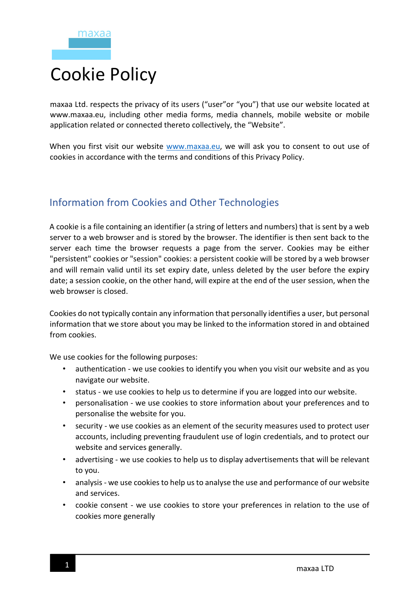## Cookie Policy

maxaa Ltd. respects the privacy of its users ("user"or "you") that use our website located at www.maxaa.eu, including other media forms, media channels, mobile website or mobile application related or connected thereto collectively, the "Website".

When you first visit our website www.maxaa.eu, we will ask you to consent to out use of cookies in accordance with the terms and conditions of this Privacy Policy.

## Information from Cookies and Other Technologies

A cookie is a file containing an identifier (a string of letters and numbers) that is sent by a web server to a web browser and is stored by the browser. The identifier is then sent back to the server each time the browser requests a page from the server. Cookies may be either "persistent" cookies or "session" cookies: a persistent cookie will be stored by a web browser and will remain valid until its set expiry date, unless deleted by the user before the expiry date; a session cookie, on the other hand, will expire at the end of the user session, when the web browser is closed.

Cookies do not typically contain any information that personally identifies a user, but personal information that we store about you may be linked to the information stored in and obtained from cookies.

We use cookies for the following purposes:

- authentication we use cookies to identify you when you visit our website and as you navigate our website.
- status we use cookies to help us to determine if you are logged into our website.
- personalisation we use cookies to store information about your preferences and to personalise the website for you.
- security we use cookies as an element of the security measures used to protect user accounts, including preventing fraudulent use of login credentials, and to protect our website and services generally.
- advertising we use cookies to help us to display advertisements that will be relevant to you.
- analysis we use cookies to help us to analyse the use and performance of our website and services.
- cookie consent we use cookies to store your preferences in relation to the use of cookies more generally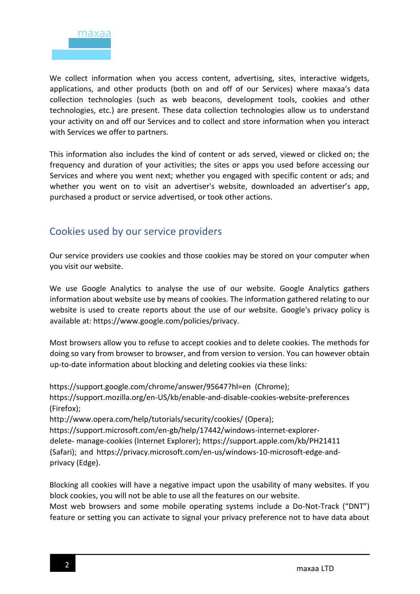

We collect information when you access content, advertising, sites, interactive widgets, applications, and other products (both on and off of our Services) where maxaa's data collection technologies (such as web beacons, development tools, cookies and other technologies, etc.) are present. These data collection technologies allow us to understand your activity on and off our Services and to collect and store information when you interact with Services we offer to partners.

This information also includes the kind of content or ads served, viewed or clicked on; the frequency and duration of your activities; the sites or apps you used before accessing our Services and where you went next; whether you engaged with specific content or ads; and whether you went on to visit an advertiser's website, downloaded an advertiser's app, purchased a product or service advertised, or took other actions.

## Cookies used by our service providers

Our service providers use cookies and those cookies may be stored on your computer when you visit our website.

We use Google Analytics to analyse the use of our website. Google Analytics gathers information about website use by means of cookies. The information gathered relating to our website is used to create reports about the use of our website. Google's privacy policy is available at: https://www.google.com/policies/privacy.

Most browsers allow you to refuse to accept cookies and to delete cookies. The methods for doing so vary from browser to browser, and from version to version. You can however obtain up-to-date information about blocking and deleting cookies via these links:

https://support.google.com/chrome/answer/95647?hl=en (Chrome); https://support.mozilla.org/en-US/kb/enable-and-disable-cookies-website-preferences (Firefox); http://www.opera.com/help/tutorials/security/cookies/ (Opera);

https://support.microsoft.com/en-gb/help/17442/windows-internet-explorerdelete- manage-cookies (Internet Explorer); https://support.apple.com/kb/PH21411 (Safari); and https://privacy.microsoft.com/en-us/windows-10-microsoft-edge-andprivacy (Edge).

Blocking all cookies will have a negative impact upon the usability of many websites. If you block cookies, you will not be able to use all the features on our website.

Most web browsers and some mobile operating systems include a Do-Not-Track ("DNT") feature or setting you can activate to signal your privacy preference not to have data about